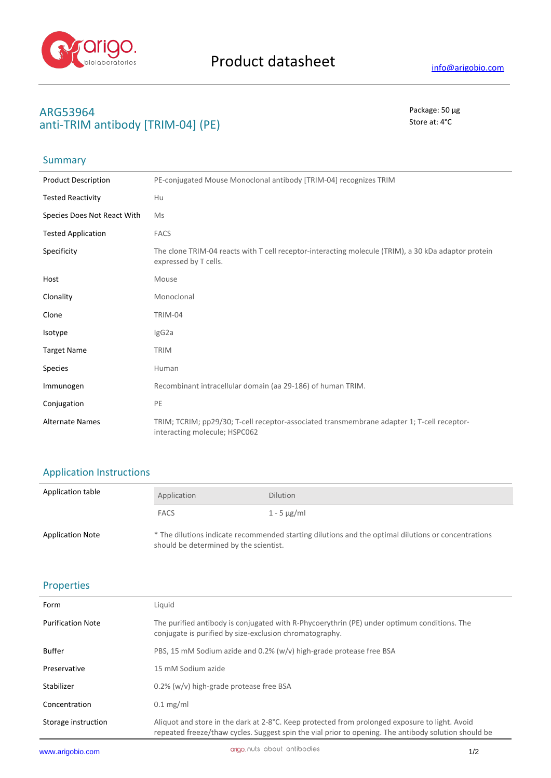

# **ARG53964** Package: 50 μg anti-TRIM antibody [TRIM-04] (PE) Store at: 4<sup>°</sup>C

## **Summary**

| <b>Product Description</b>  | PE-conjugated Mouse Monoclonal antibody [TRIM-04] recognizes TRIM                                                            |
|-----------------------------|------------------------------------------------------------------------------------------------------------------------------|
| <b>Tested Reactivity</b>    | Hu                                                                                                                           |
| Species Does Not React With | Ms                                                                                                                           |
| <b>Tested Application</b>   | <b>FACS</b>                                                                                                                  |
| Specificity                 | The clone TRIM-04 reacts with T cell receptor-interacting molecule (TRIM), a 30 kDa adaptor protein<br>expressed by T cells. |
| Host                        | Mouse                                                                                                                        |
| Clonality                   | Monoclonal                                                                                                                   |
| Clone                       | TRIM-04                                                                                                                      |
| Isotype                     | IgG2a                                                                                                                        |
| <b>Target Name</b>          | <b>TRIM</b>                                                                                                                  |
| Species                     | Human                                                                                                                        |
| Immunogen                   | Recombinant intracellular domain (aa 29-186) of human TRIM.                                                                  |
| Conjugation                 | PE                                                                                                                           |
| <b>Alternate Names</b>      | TRIM; TCRIM; pp29/30; T-cell receptor-associated transmembrane adapter 1; T-cell receptor-<br>interacting molecule; HSPC062  |

# Application Instructions

| Application table       | Application                            | <b>Dilution</b>                                                                                     |
|-------------------------|----------------------------------------|-----------------------------------------------------------------------------------------------------|
|                         | <b>FACS</b>                            | 1 - 5 $\mu$ g/ml                                                                                    |
| <b>Application Note</b> | should be determined by the scientist. | * The dilutions indicate recommended starting dilutions and the optimal dilutions or concentrations |

### Properties

| Form                     | Liquid                                                                                                                                                                                                 |
|--------------------------|--------------------------------------------------------------------------------------------------------------------------------------------------------------------------------------------------------|
| <b>Purification Note</b> | The purified antibody is conjugated with R-Phycoerythrin (PE) under optimum conditions. The<br>conjugate is purified by size-exclusion chromatography.                                                 |
| Buffer                   | PBS, 15 mM Sodium azide and 0.2% ( $w/v$ ) high-grade protease free BSA                                                                                                                                |
| Preservative             | 15 mM Sodium azide                                                                                                                                                                                     |
| Stabilizer               | 0.2% (w/v) high-grade protease free BSA                                                                                                                                                                |
| Concentration            | $0.1 \text{ mg/ml}$                                                                                                                                                                                    |
| Storage instruction      | Aliquot and store in the dark at 2-8°C. Keep protected from prolonged exposure to light. Avoid<br>repeated freeze/thaw cycles. Suggest spin the vial prior to opening. The antibody solution should be |
|                          |                                                                                                                                                                                                        |